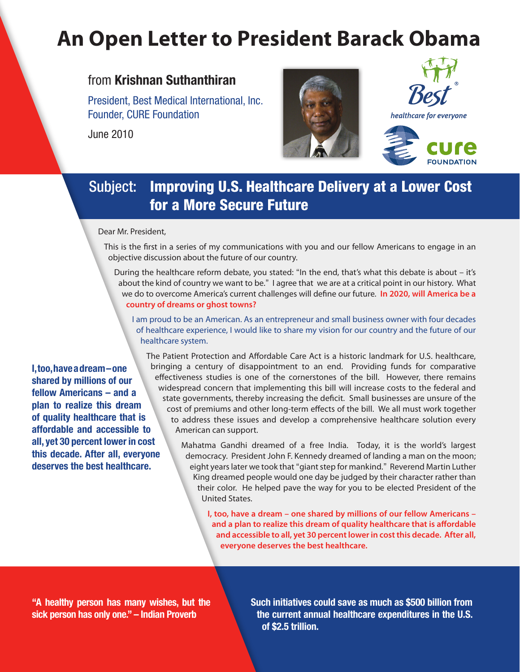# **An Open Letter to President Barack Obama**

### from **Krishnan Suthanthiran**

President, Best Medical International, Inc. Founder, CURE Foundation

June 2010





healthcare for everyone

## Subject: Improving U.S. Healthcare Delivery at a Lower Cost for a More Secure Future

Dear Mr. President,

This is the first in a series of my communications with you and our fellow Americans to engage in an objective discussion about the future of our country.

During the healthcare reform debate, you stated: "In the end, that's what this debate is about – it's about the kind of country we want to be." I agree that we are at a critical point in our history. What we do to overcome America's current challenges will define our future. **In 2020, will America be a country of dreams or ghost towns?** 

I am proud to be an American. As an entrepreneur and small business owner with four decades of healthcare experience, I would like to share my vision for our country and the future of our healthcare system.

**I, too, have a dream – one shared by millions of our fellow Americans – and a plan to realize this dream of quality healthcare that is affordable and accessible to all, yet 30 percent lower in cost this decade. After all, everyone deserves the best healthcare.**

The Patient Protection and Affordable Care Act is a historic landmark for U.S. healthcare, bringing a century of disappointment to an end. Providing funds for comparative effectiveness studies is one of the cornerstones of the bill. However, there remains widespread concern that implementing this bill will increase costs to the federal and state governments, thereby increasing the deficit. Small businesses are unsure of the cost of premiums and other long-term effects of the bill. We all must work together to address these issues and develop a comprehensive healthcare solution every American can support.

> Mahatma Gandhi dreamed of a free India. Today, it is the world's largest democracy. President John F. Kennedy dreamed of landing a man on the moon; eight years later we took that "giant step for mankind." Reverend Martin Luther King dreamed people would one day be judged by their character rather than their color. He helped pave the way for you to be elected President of the United States.

**I, too, have a dream – one shared by millions of our fellow Americans – and a plan to realize this dream of quality healthcare that is affordable and accessible to all, yet 30 percent lower in cost this decade. After all, everyone deserves the best healthcare.**

**"A healthy person has many wishes, but the sick person has only one." – Indian Proverb**

**Such initiatives could save as much as \$500 billion from the current annual healthcare expenditures in the U.S. of \$2.5 trillion.**